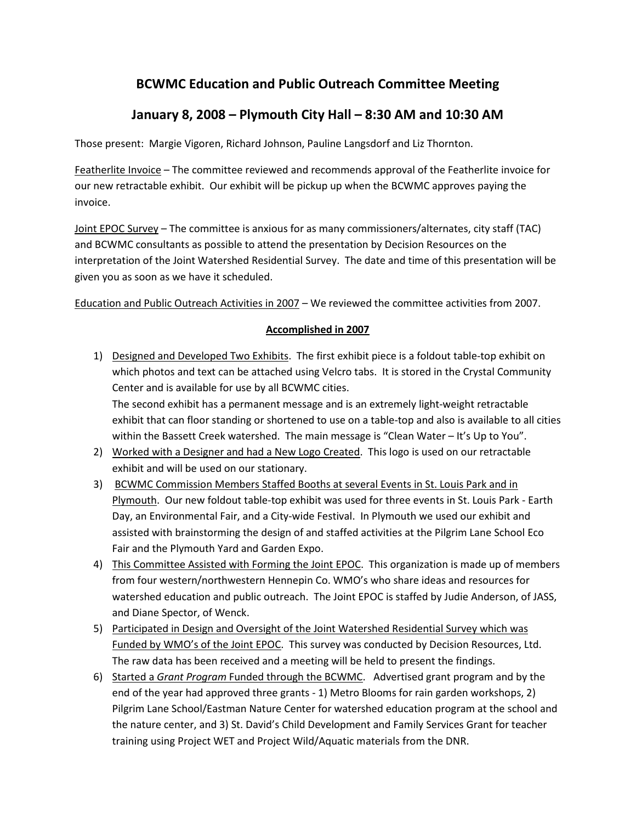## **BCWMC Education and Public Outreach Committee Meeting**

## January 8, 2008 - Plymouth City Hall - 8:30 AM and 10:30 AM

Those present: Margie Vigoren, Richard Johnson, Pauline Langsdorf and Liz Thornton.

Featherlite Invoice - The committee reviewed and recommends approval of the Featherlite invoice for our new retractable exhibit. Our exhibit will be pickup up when the BCWMC approves paying the invoice.

Joint EPOC Survey - The committee is anxious for as many commissioners/alternates, city staff (TAC) and BCWMC consultants as possible to attend the presentation by Decision Resources on the interpretation of the Joint Watershed Residential Survey. The date and time of this presentation will be given you as soon as we have it scheduled.

Education and Public Outreach Activities in 2007 - We reviewed the committee activities from 2007.

## Accomplished in 2007

- 1) Designed and Developed Two Exhibits. The first exhibit piece is a foldout table-top exhibit on which photos and text can be attached using Velcro tabs. It is stored in the Crystal Community Center and is available for use by all BCWMC cities. The second exhibit has a permanent message and is an extremely light-weight retractable exhibit that can floor standing or shortened to use on a table-top and also is available to all cities within the Bassett Creek watershed. The main message is "Clean Water - It's Up to You".
- 2) Worked with a Designer and had a New Logo Created. This logo is used on our retractable exhibit and will be used on our stationary.
- 3) BCWMC Commission Members Staffed Booths at several Events in St. Louis Park and in Plymouth. Our new foldout table-top exhibit was used for three events in St. Louis Park - Earth Day, an Environmental Fair, and a City-wide Festival. In Plymouth we used our exhibit and assisted with brainstorming the design of and staffed activities at the Pilgrim Lane School Eco Fair and the Plymouth Yard and Garden Expo.
- 4) This Committee Assisted with Forming the Joint EPOC. This organization is made up of members from four western/northwestern Hennepin Co. WMO's who share ideas and resources for watershed education and public outreach. The Joint EPOC is staffed by Judie Anderson, of JASS, and Diane Spector, of Wenck.
- 5) Participated in Design and Oversight of the Joint Watershed Residential Survey which was Funded by WMO's of the Joint EPOC. This survey was conducted by Decision Resources, Ltd. The raw data has been received and a meeting will be held to present the findings.
- 6) Started a Grant Program Funded through the BCWMC. Advertised grant program and by the end of the year had approved three grants - 1) Metro Blooms for rain garden workshops, 2) Pilgrim Lane School/Eastman Nature Center for watershed education program at the school and the nature center, and 3) St. David's Child Development and Family Services Grant for teacher training using Project WET and Project Wild/Aquatic materials from the DNR.